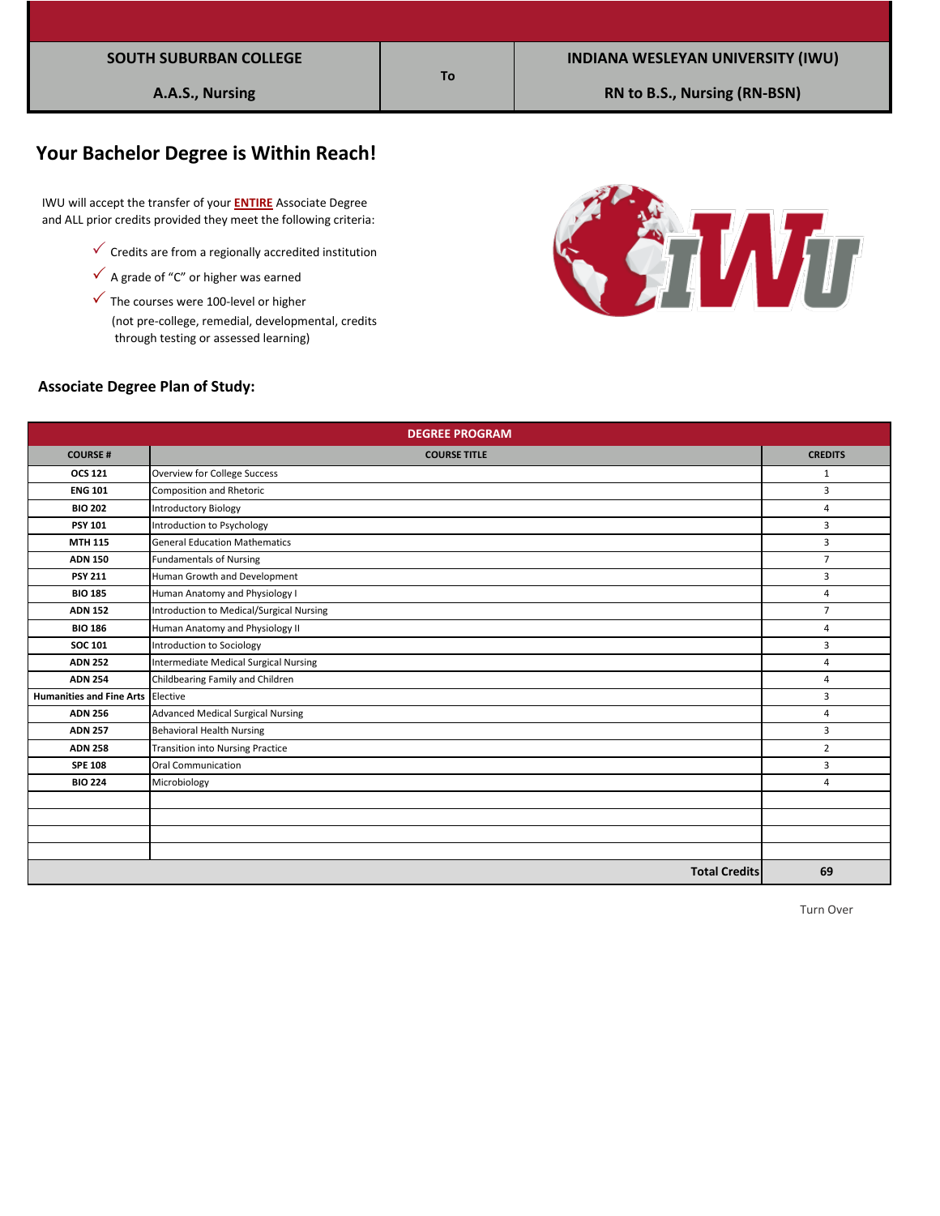|  |  |  |  |  | SOUTH SUBURBAN COLLEGE |
|--|--|--|--|--|------------------------|
|--|--|--|--|--|------------------------|

# **Your Bachelor Degree is Within Reach!**

 IWU will accept the transfer of your **ENTIRE** Associate Degree and ALL prior credits provided they meet the following criteria:

- $\checkmark$  Credits are from a regionally accredited institution
- $\checkmark$  A grade of "C" or higher was earned
- $\checkmark$  The courses were 100-level or higher

 (not pre-college, remedial, developmental, credits through testing or assessed learning)



#### **Associate Degree Plan of Study:**

|                                   | <b>DEGREE PROGRAM</b>                    |                |
|-----------------------------------|------------------------------------------|----------------|
| <b>COURSE#</b>                    | <b>COURSE TITLE</b>                      | <b>CREDITS</b> |
| <b>OCS 121</b>                    | Overview for College Success             | 1              |
| <b>ENG 101</b>                    | <b>Composition and Rhetoric</b>          | 3              |
| <b>BIO 202</b>                    | <b>Introductory Biology</b>              | $\overline{4}$ |
| <b>PSY 101</b>                    | Introduction to Psychology               | 3              |
| <b>MTH 115</b>                    | <b>General Education Mathematics</b>     | 3              |
| <b>ADN 150</b>                    | <b>Fundamentals of Nursing</b>           | $\overline{7}$ |
| <b>PSY 211</b>                    | Human Growth and Development             | 3              |
| <b>BIO 185</b>                    | Human Anatomy and Physiology I           | 4              |
| <b>ADN 152</b>                    | Introduction to Medical/Surgical Nursing | $\overline{7}$ |
| <b>BIO 186</b>                    | Human Anatomy and Physiology II          | 4              |
| <b>SOC 101</b>                    | Introduction to Sociology                | $\overline{3}$ |
| <b>ADN 252</b>                    | Intermediate Medical Surgical Nursing    | 4              |
| <b>ADN 254</b>                    | Childbearing Family and Children         | 4              |
| Humanities and Fine Arts Elective |                                          | 3              |
| <b>ADN 256</b>                    | <b>Advanced Medical Surgical Nursing</b> | 4              |
| <b>ADN 257</b>                    | <b>Behavioral Health Nursing</b>         | 3              |
| <b>ADN 258</b>                    | <b>Transition into Nursing Practice</b>  | $\overline{2}$ |
| <b>SPE 108</b>                    | Oral Communication                       | 3              |
| <b>BIO 224</b>                    | Microbiology                             | 4              |
|                                   |                                          |                |
|                                   |                                          |                |
|                                   |                                          |                |
|                                   |                                          |                |
|                                   | <b>Total Credits</b>                     | 69             |

### **To**